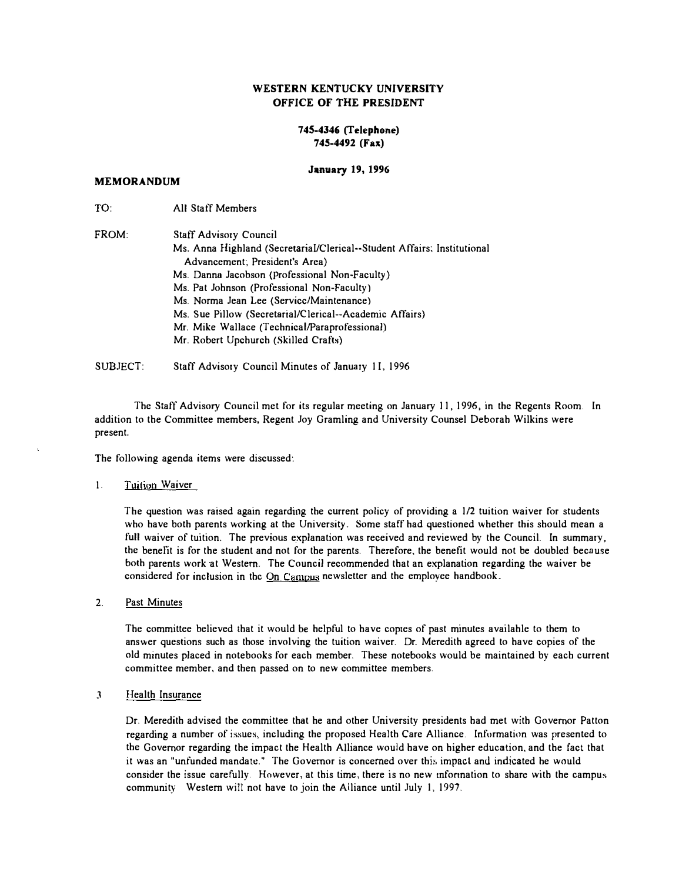### WESTERN KENTUCKY UNIVERSITY OFFICE OF THE PRESIDENT

### 745-4346 (Telephone) 745-4492 (Fax)

#### January 19, 1996

#### MEMORANDUM

TO: All Staff Members

| FROM: | Staff Advisory Council                                                  |
|-------|-------------------------------------------------------------------------|
|       | Ms. Anna Highland (Secretarial/Clerical--Student Affairs; Institutional |
|       | Advancement; President's Area)                                          |
|       | Ms. Danna Jacobson (Professional Non-Faculty)                           |
|       | Ms. Pat Johnson (Professional Non-Faculty)                              |
|       | Ms. Norma Jean Lee (Servicc/Maintenance)                                |
|       | Ms. Sue Pillow (Secretarial/Clerical--Academic Affairs)                 |
|       | Mr. Mike Wallace (Technical/Paraprofessional)                           |
|       | Mr. Robert Upchurch (Skilled Crafts)                                    |
|       |                                                                         |

SUBJECT: Staff Advisory Council Minutes of January II. 1996

The Staff Advisory Council met for its regular meeting on January 11, 1996, in the Regents Room. In addition to the Committee members, Regent Joy Gramling and University Counsel Deborah Wilkins were present.

The following agenda items were discussed:

#### I. Tuition Waiver

The question was raised again regarding the current policy of providing a 1/2 tuition waiver for students who have both parents working at the University. Some staff had questioned whether this should mean a full waiver of tuition. The previous explanation was received and reviewed by the Council. In summary, the benelit is for the student and not for the parents. Therefore, the benefit would not be doubled because both parents work at Western. The Council recommended that an explanation regarding the waiver be considered for inclusion in the On Campus newsletter and the employee handbook.

2. Past Minutes

The committee believed that it would be helpful to have coptes of past minutes available to them to answer questions such as those involving the tuition waiver. Dr. Meredith agreed to have copies of the old minutes placed in notebooks for each member. These notebooks would be maintained by each current committee member, and then passed on to new committee members.

3 Health Insurance

Dr. Meredith advised the committee that he and other University presidents had met with Governor Patton regarding a number of issues, including the proposed Health Care Alliance. Infurmation was presented to the Governor regarding the impact the Health Ailiance would have on higher education, and the fact that it was an "unfunded mandate." The Governor is concerned over this impact and indicated he would consider the issue carefully. However, at this time, there is no new mfonnation to share with the campus community Western will not have to join the Alliance until July I, 1997.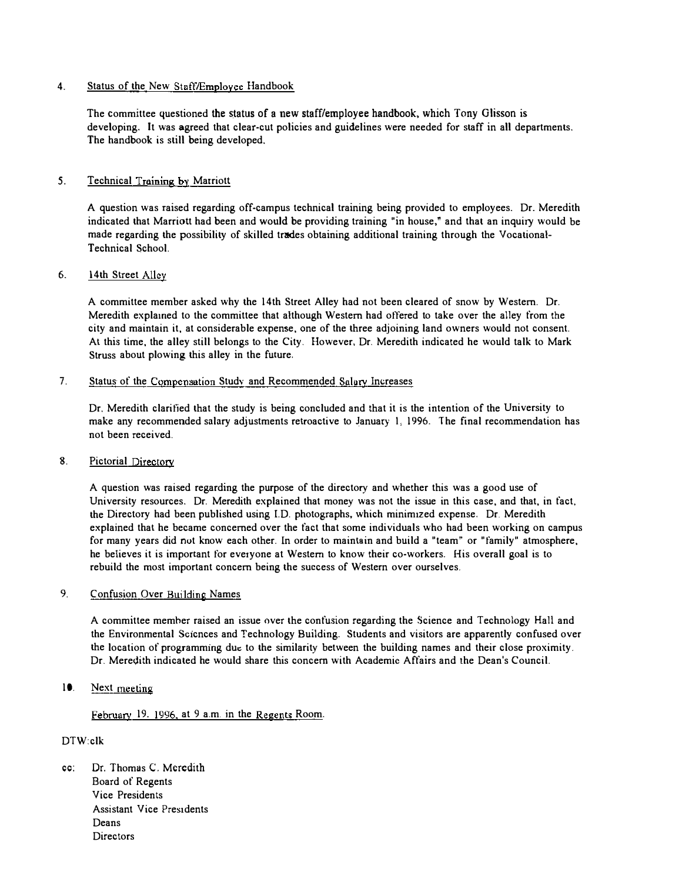### 4. Status of the New Staff/Employee Handbook

The committee questioned the status of a new staff/employee handbook, which Tony Glisson is developing. It was agreed that clear-cut policies and guidelines were needed for staff in all departments. The handbook is still being developed.

### 5. Technical Training by Marriott

A question was raised regarding off-campus technical training being provided to employees. Dr. Meredith indicated that Marriott had been and would be providing training "in house," and that an inquiry would be made regarding the possibility of skilled trades obtaining additional training through the Vocational-Technical School.

### 6. 14th Street Alley

A committee member asked why the 14th Street Alley had not been cleared of snow by Western. Dr. Meredith explamed to the committee that although Western had offered to take over the alley from the city and maintain it, at considerable expense, one of the three adjoining land owners would not consent. At this time, the alley still belongs to the City. However, Dr. Meredith indicated he would talk to Mark Struss about plowing this alley in the future.

#### 7. Status of the Compensation Study and Recommended Salary Increases

Dr. Meredith clarified that the study is being concluded and that it is the intention of the University to make any recommended salary adjustments retroactive to January 1, 1996. The final recommendation has not been received.

#### 8. Pictorial Directory

A question was raised regarding the purpose of the directory and whether this was a good use of University resources. Dr. Meredith explained that money was not the issue in this case, and that, in fact, the Directory had been published using LD. photographs, which minimized expense. Dr. Meredith explained that he became concerned over the fact that some individuals who had been working on campus for many vears did not know each other. In order to maintain and build a "team" or "family" atmosphere, he believes it is important for everyone at Western to know their co-workers. His overall goal is to rebuild the most important concern being the success of Western over ourselves.

### 9. Confusion Over Building Names

A committee memher raised an issue over the confusion regarding the Science and Technology Hall and the Environmental Scicnces and Technology Building. Students and visitors are apparently confused over the location of programmmg due to the similarity between the building names and their close proximity. Dr. Meredith indicated he would share this concern with Academic Affairs and the Dean's Council.

### 10. Next meeting

February 19. 1996, at 9 a.m. in the Regents Room.

### DTW:clk

cc: Dr. Thomas C. Meredith Board of Regents Vice Presidents Assistant Vice Presidents Deans **Directors**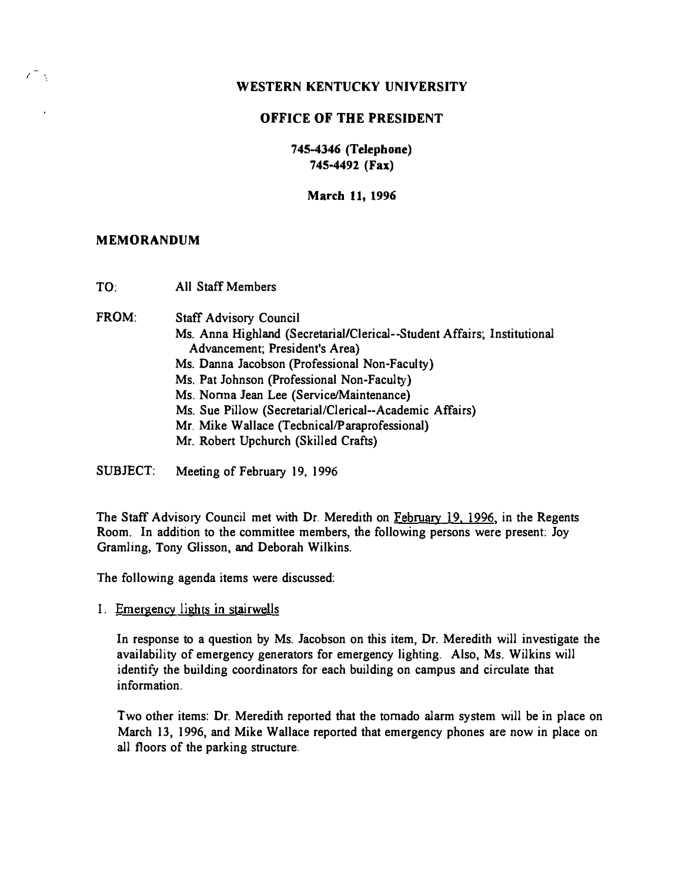# OFFICE OF THE PRESIDENT

745-4346 (Telephone) 745-4492 (Fax)

March 11, 1996

### MEMORANDUM

 $\epsilon^-$  ,

TO: All Staff Members

FROM: Staff Advisory Council

- Ms. Anna Highland (Secretarial/Clerical--Student Affairs; Institutional Advancement; President's Area)
- Ms. Danna Jacobson (Professional Non-Faculty)
- Ms. Pat Johnson (Professional Non-Faculty)
- Ms. Norma Jean Lee (Service/Maintenance)
- Ms. Sue Pillow (Secretarial/Clerical--Academic Affairs)
- Mr. Mike Wallace (Tecbnical/Paraprofessional)
- Mr. Robert Upchurch (Skilled Crafts)
- SUBJECT: Meeting of February 19. 1996

The Staff Advisory Council met with Dr. Meredith on February 19. 1996, in the Regents Room. In addition to the committee members, the following persons were present. Joy Gramling, Tony Glisson, and Deborah Wilkins.

The following agenda items were discussed:

1. Emergencv lights in stairwells

In response to a question by Ms. Jacobson on this item, Dr. Meredith will investigate the availability of emergency generators for emergency lighting. Also, Ms. Wilkins will identify the building coordinators for each building on campus and circulate that information.

Two other items: Dr. Meredith reported that the tornado alarm system will be in place on March 13, 1996, and Mike Wallace reported that emergency phones are now in place on all floors of the parking structure.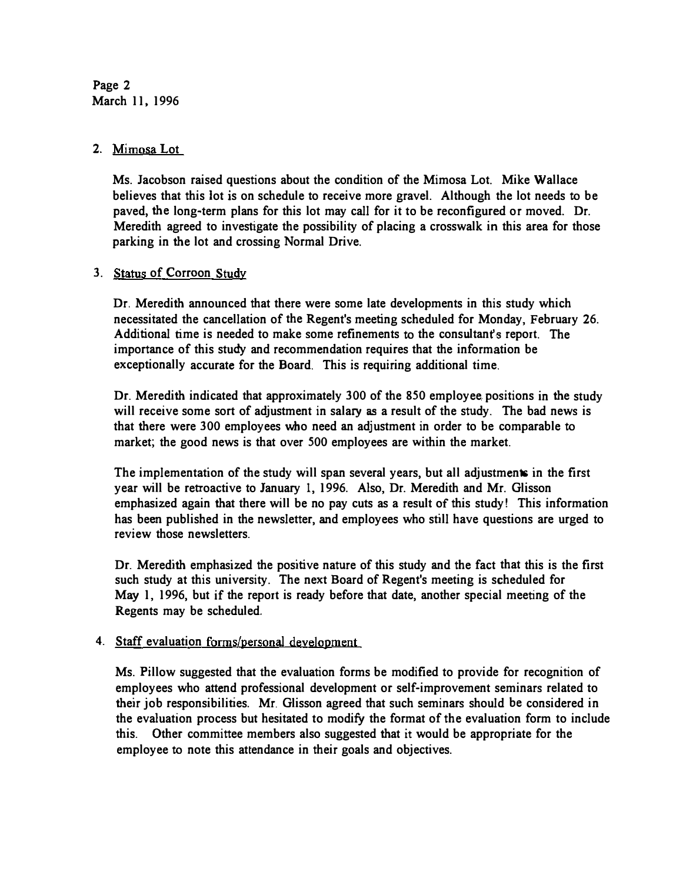Page 2 March 11. 1996

# 2. Mimosa Lot

Ms. Jacobson raised questions ahout the condition of the Mimosa Lot. Mike Wallace believes that this lot is on schedule to receive more gravel. Although the lot needs to be paved, the long�term plans for this lot may call for it to be reconfigured or moved. Dr. Meredith agreed to investigate the possibility of placing a crosswalk in this area for those parking in the lot and crossing Normal Drive.

### 3. Status of Corroon Study

Dr. Meredith announced that there were some late developments in this study which necessitated the cancellation of the Regent's meeting scheduled for Monday, February 26. Additional time is needed to make some refinements to the consultant's report. The importance of this study and recommendation requires that the information be exceptionally accurate for the Board. This is requiring additional time.

Dr. Meredith indicated that approximately 300 of the 850 employee positions in the study will receive some sort of adjustment in salary as a result of the study. The bad news is that there were 300 employees who need an adjustment in order to be comparable to market; the good news is that over 500 employees are within the market.

The implementation of the study will span several years, but all adjustments in the first year will be retroactive to January 1, 1996. Also, Dr. Meredith and Mr. Glisson emphasized again that there will be no pay cuts as a result of this study! This information has been published in the newsletter, and employees who still have questions are urged to review those newsletters.

Dr. Meredith emphasized the positive nature of this study and the fact that this is the first such study at this university. The next Board of Regent's meeting is scheduled for May 1, 1996, but if the report is ready before that date, another special meeting of the Regents may be scheduled.

# 4. Staff evaluation forms/personal development

Ms. Pillow suggested that the evaluation forms be modified to provide for recognition of employees who attend professional development or self-improvement seminars related to their job responsibilities. Mr. Glisson agreed that such seminars should be considered in the evaluation process but hesitated to modify the format of the evaluation form to include this. Other committee members also suggested that it would be appropriate for the employee to note this attendance in their goals and objectives.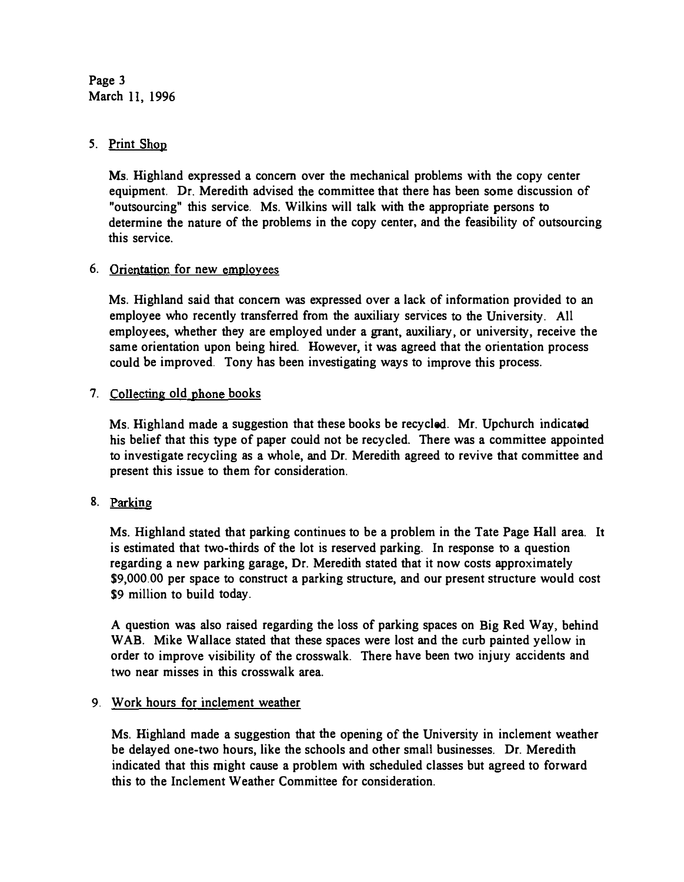Page 3 March II, 1996

# 5. Print Shop

Ms. Highland expressed a concern over the mechanical problems with the copy center equipment. Dr. Meredith advised the committee that there has been some discussion of "outsourcing" this service. Ms. Wilkins will talk with the appropriate persons to determine the nature of the problems in the copy center. and the feasibility of outsourcing this service.

# 6. Orientation for new employees

Ms. Highland said that concern was expressed over a lack of information provided to an employee who recently transferred from the auxiliary services to the University. All employees, whether they are employed under a grant, auxiliary. or university, receive the same orientation upon being hired. However, it was agreed that the orientation process could he improved. Tony has been investigating ways to improve this process.

# 7. Collecting old phone books

Ms. Highland made a suggestion that these books be recycled. Mr. Upchurch indicated his belief that this type of paper could not be recycled. There was a committee appointed to investigate recycling as a whole, and Dr. Meredith agreed to revive that committee and present this issue to them for consideration.

# 8. Parking

Ms. Highland stated that parking continues to be a problem in the Tate Page Hall area. It is estimated that two-thirds of the lot is reserved parking. In response to a question regarding a new parking garage, Dr. Meredith stated that it now costs approximately \$9,000.00 per space to construct a parking structure, and our present structure would cost \$9 million to build today.

A question was also raised regarding the loss of parking spaces on Big Red Way, behind WAB. Mike Wallace stated that these spaces were lost and the curb painted yellow in order to improve visibility of the crosswalk. There have been two injury accidents and two near misses in this crosswalk area.

# 9. Work hours for inclement weather

Ms. Highland made a suggestion that the opening of the University in inclement weather be delayed one-two hours, like the schools and other small businesses. Dr. Meredith indicated that this might cause a problem with scheduled classes but agreed to forward this to the Inclement Weather Committee for consideration.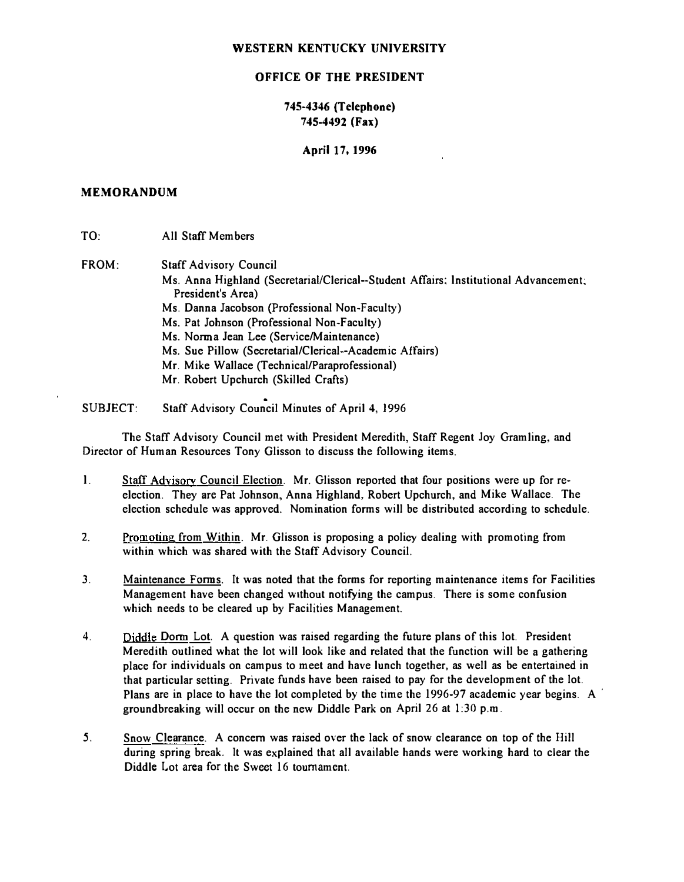### OFFICE OF THE PRESIDENT

### 745-4346 (Telephone) 745-4492 (Fax)

April 17, 1996

### MEMORANDUM

TO: FROM: All Staff Members Staff Advisory Council Ms. Anna Highland (Secretarial/Clerical--Student Affairs; Institutional Advancement; President's Area) Ms. Danna Jacobson (Professional Non-Faculty) Ms. Pat Johnson (Professional Non-Faculty) Ms. Norma Jean Lee (Service/Maintenance) Ms. Sue Pillow (Secretarial/Clerical--Academic Affairs) Mr. Mike Wallace (Technical/Paraprofessional) Mr. Robert Upchurch (Skilled Crafts)

SUBJECT: Staff Advisory Council Minutes of April 4, 1996

The Staff Advisory Council met with President Meredith, Staff Regent Joy Gramling, and Director of Human Resources Tony Glisson to discuss the following items.

- I. Staff Advisory Council Election. Mr. Glisson reported that four positions were up for re· election. They are Pat Johnson, Anna Highland, Robert Upchurch, and Mike Wallace. The election schedule was approved. Nomination forms will be distributed according to schedule.
- 2. Promoting from Within. Mr. Glisson is proposing a policy dealing with promoting from within which was shared with the Staff Advisory Council.
- 3. Maintenance Fanus. It was noted that the forms for reporting maintenance items for Facilities Management have been changed without notifying the campus. There is some confusion which needs to be cleared up by Facilities Management.
- 4. Diddle Donn Lot. A question was raised regarding the future plans of this lot. President Meredith outlined what the lot will look like and related that the function will be a gathering place for individuals on campus to meet and have lunch together, as well as be entertained in that particular setting. Private funds have been raised to pay for the development of the lot. Plans are in place to have the lot completed by the time the 1996-97 academic year begins. A groundbreaking will occur on the new Diddle Park on April 26 at  $1:30$  p.m.
- 5. Snow Clearance. A concern was raised over the lack of snow clearance on top of the Hill during spring break. It was explained that all available hands were working hard to clear the Diddle Lot area for the Sweet 16 tournament.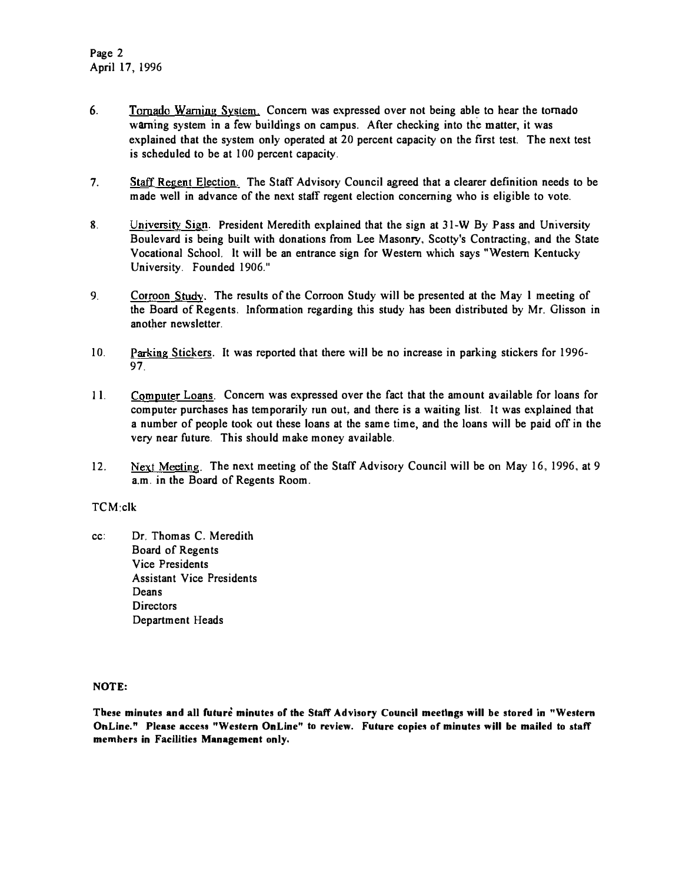- 6. Tornado Warning System. Concern was expressed over not being able to hear the tomado warning system in a few buildings on campus. After checking into the matter, it was explained that the system only operated at 20 percent capacity on the first test. The next test is scheduled to be at 100 percent capacity.
- 7. Staff Regent Election. The Staff Advisory Council agreed that a clearer definition needs to be made well in advance of the next staff regent election concerning who is eligible to vote.
- 8. University Sign. President Meredith explained that the sign at 31-W By Pass and University Boulevard is being built with donations from Lee Masonry, Scotty's Contracting, and the State Vocational School. It will be an entrance sign for Western which says "Western Kentucky University. Founded 1906."
- 9. Corroon Study. The results of the Corroon Study will be presented at the May 1 meeting of the Board of Regents. Information regarding this study has been distributed by Mr. Glisson in another newsletter.
- 10. Parking Stickers. It was reported that there wiIl be no increase in parking stickers for 1996- 97.
- II. Computer Loans. Concern was expressed over the fact that the amount available for loans for computer purchases has temporarily run out, and there is a waiting list. It was explained that a number of people took out these loans at the same time, and the loans will be paid off in the very near future. This should make money available.
- 12. Next Meeting. The next meeting of the Staff Advisory Council will be on May 16, 1996, at 9 a.m. in the Board of Regents Room.

### TCM:clk

cc: Dr. Thomas C. Meredith Board of Regents Vice Presidents Assistant Vice Presidents Deans **Directors** Department Heads

### NOTE,

These minutes and all future minutes of the Staff Advisory Council meetings will be stored in "Western OnLine." Please access "Western OnLine" to review. Future copies of minutes will be mailed to staff memhers in Facilities Management only,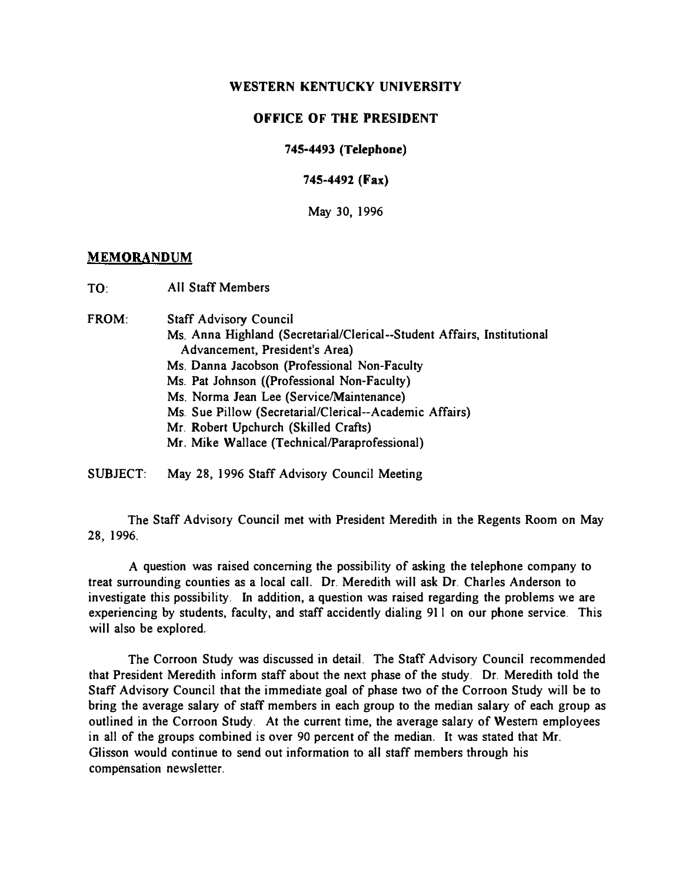## OFFICE OF THE PRESIDENT

### 745-4493 (Telephone)

745-4492 (Fax)

May 30, 1996

### **MEMORANDUM**

TO: All Staff Members

FROM: Staff Advisory Council

- Ms. Anna Highland (Secretariai/Clerical--Student Affairs, Institutional Advancement, President's Area)
- Ms. Danna Jacobson (Professional Non-Faculty
- Ms. Pat Johnson ((Professional Non-Faculty)
- Ms. Norma Jean Lee (Service/Maintenance)
- Ms. Sue Pillow (Secretarial/Clerical--Academic Affairs)
- Mr. Robert Upchurch (Skilled Crafts)
- Mr. Mike Wallace (Technical/Paraprofessional)

SUBJECT: May 28, 1996 Staff Advisory Council Meeting

The Staff Advisory Council met with President Meredith in the Regents Room on May 28, 1996.

A question was raised concerning the possibility of asking the telephone company to treat surrounding counties as a local call. Dr. Meredith will ask Dr. Charles Anderson to investigate this possibility. In addition, a question was raised regarding the problems we are experiencing by students, faculty, and staff accidently dialing 91 I on our phone service. This will also be explored.

The Corroon Study was discussed in detail. The Staff Advisory Council recommended that President Meredith inform staff about the next phase of the study. Dr. Meredith told the Staff Advisory Council that the immediate goal of phase two of the Corroon Study will be to bring the average salary of staff members in each group to the median salary of each group as outlined in the Corroon Study. At the current time, the average salary of Western employees in all of the groups combined is over 90 percent of the median. It was stated that Mr. Glisson would continue to send out information to all staff members through his compensation newsletter.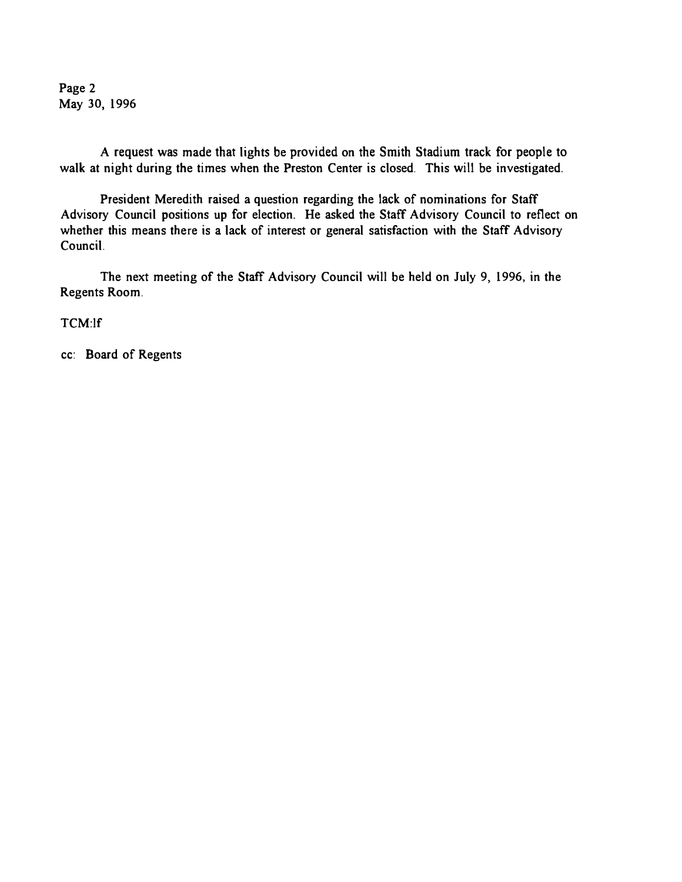Page 2 May 30, 1996

A request was made that lights be provided on the Smith Stadium track for people to walk at night during the times when the Preston Center is closed. This will be investigated.

President Meredith raised a question regarding the lack of nominations for Staff Advisory Council positions up for election. He asked the Staff Advisory Council to reflect on whether this means there is a lack of interest or general satisfaction with the Staff Advisory Council.

The next meeting of the Staff Advisory Council will be held on July 9, 1996, in the Regents Room.

TCM:lf

cc: Board of Regents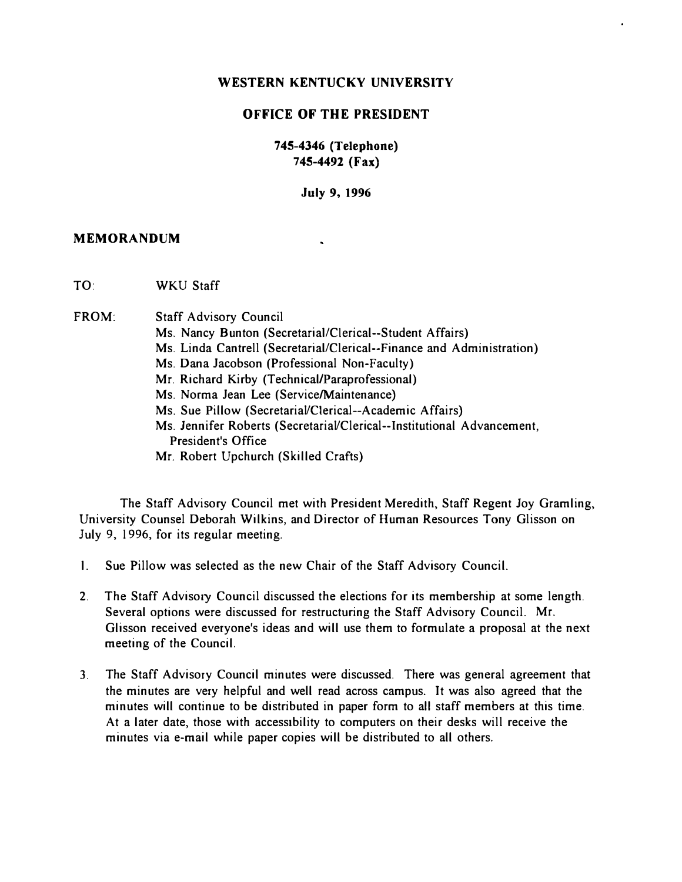# OFFICE OF THE PRESIDENT

# 745-4346 (Telephone) 745-4492 (Fax)

July 9, 1996

k,

### MEMORANDUM

- TO: WKU Staff
- FROM: Staff Advisory Council
	- Ms. Nancy Bunton (Secretarial/Clerical--Student Affairs)
	- Ms. Linda Cantrell (Secretarial/Clerical--Finance and Administration)
	- Ms. Dana Jacobson (Professional Non-Faculty)
	- Mr. Richard Kirby (Technical/Paraprofessional)
	- Ms. Norma Jean Lee (Service/Maintenance)
	- Ms. Sue Pillow (Secretarial/Clerical--Academic Affairs)
	- Ms. Jennifer Roberts (Secretarial/Clerical--Institutional Advancement, President's Office
	- Mr. Robert Upchurch (Skilled Crafts)

The Staff Advisory Council met with President Meredith, Staff Regent Joy Gramling, University Counsel Deborah Wilkins, and Director of Human Resources Tony Glisson on July 9, 1996, for its regular meeting.

- I. Sue Pillow was selected as the new Chair of the Staff Advisory Council.
- 2. The Staff Advisory Council discussed the elections for its membership at some length. Several options were discussed for restructuring the Staff Advisory Council. Mr. Glisson received everyone's ideas and will use them to formulate a proposal at the next meeting of the Council.
- 3. The Staff Advisory Council minutes were discussed. There was general agreement that the minutes are very helpful and well read across campus. It was also agreed that the minutes will continue to be distributed in paper form to all staff members at this time. At a later date, those with accessibility to computers on their desks will receive the minutes via e-mail while paper copies will be distributed to all others.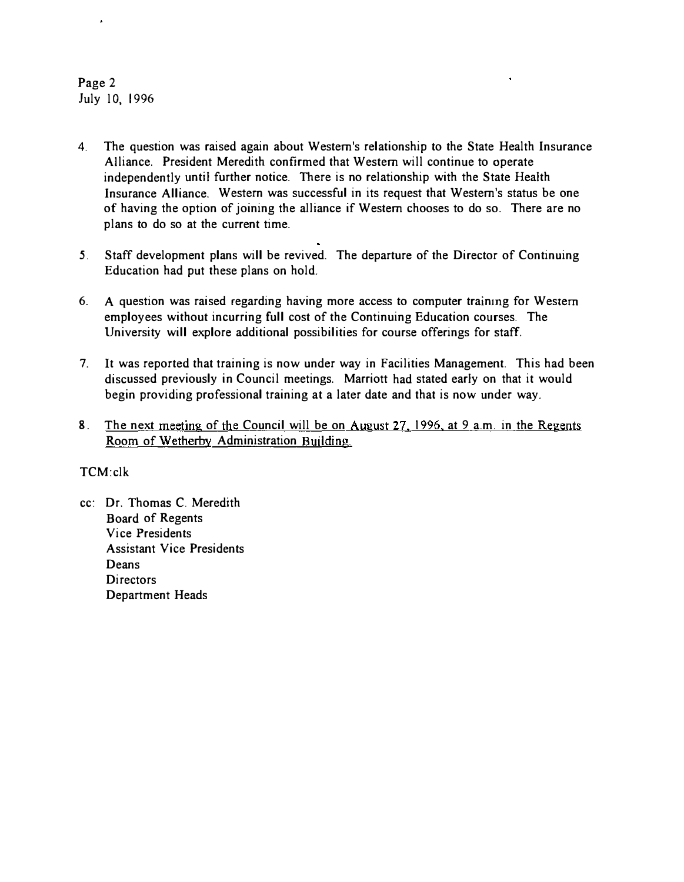# Page 2 July 10, 1996

 $\hat{\mathbf{r}}$ 

- 4. The question was raised again about Western's relationship to the State Health Insurance Alliance. President Meredith confirmed that Western will continue to operate independently until further notice. There is no relationship with the State Health Insurance Alliance. Western was successful in its request that Western's status be one of having the option of joining the alliance if Western chooses to do so. There are no plans to do so at the current time.
- 5. Staff development plans will be revived. The departure of the Director of Continuing Education had put these plans on hold.
- 6. A question was raised regarding having more access to computer trainmg for Western employees without incurring full cost of the Continuing Education courses. The University will explore additional possibilities for course offerings for staff.
- 7. It was reported that training is now under way in Facilities Management. This had been discussed previously in Council meetings. Marriott had stated early on that it would begin providing professional training at a later date and that is now under way.
- 8. The next meeting of the Council will be on August 27, 1996, at 9 a.m. in the Regents Room of Wetherby Administration Building.

# TCM:clk

cc: Dr. Thomas C. Meredith Board of Regents Vice Presidents Assistant Vice Presidents Deans **Directors** Department Heads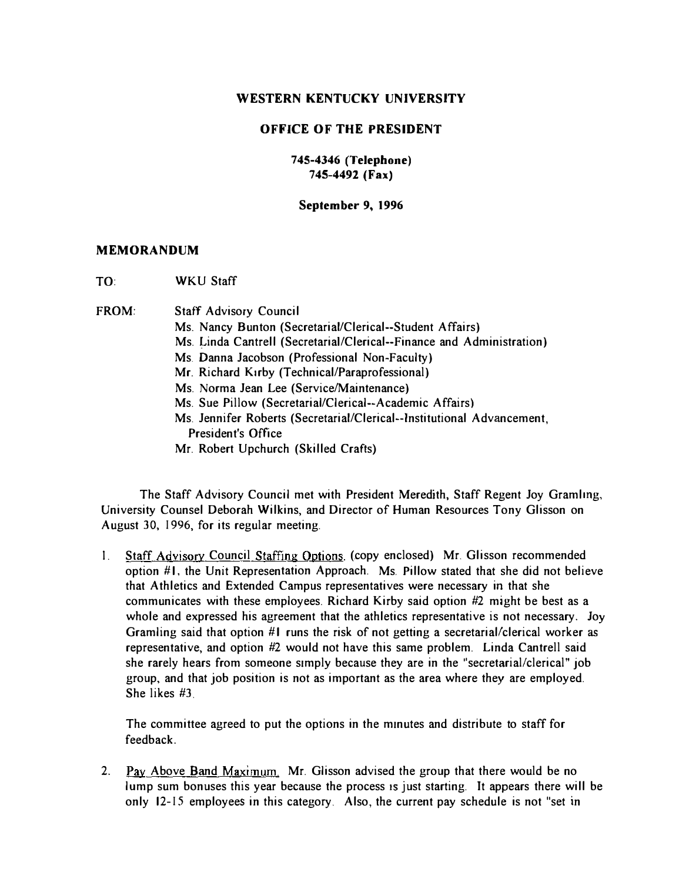# OFFICE OF THE PRESIDENT

745-4346 (Telephone) 745-4492 (Fax)

September 9, 1996

### MEMORANDUM

TO: WKU Staff

FROM: Staff Advisory Council Ms. Nancy Bunton (Secretarial/Clerical--Student Affairs) Ms. Linda Cantrell (Secretarial/Clerical--Finance and Administration) Ms. Danna Jacobson (Professional Non-Faculty) Mr. Richard Kirby (Technical/Paraprofessional) Ms. Norma Jean Lee (Service/Maintenance) Ms. Sue Pillow (Secretarial/Clerical--Academic Affairs) Ms. Jennifer Roberts (SecretariaI/Clerical--lnstitutional Advancement, President's Office Mr. Robert Upchurch (Skilled Crafts)

The Staff Advisory Council met with President Meredith, Staff Regent Joy Gramlmg, University Counsel Deborah Wilkins, and Director of Human Resources Tony Glisson on August 30, 1996, for its regular meeting.

I. Staff Advisory Council Staffing Options. (copy enclosed) Mr. Glisson recommended option  $#I$ , the Unit Representation Approach. Ms. Pillow stated that she did not believe that Athletics and Extended Campus representatives were necessary in that she communicates with these employees. Richard Kirby said option #2 might be best as a whole and expressed his agreement that the athletics representative is not necessary. Joy Gramling said that option  $#I$  runs the risk of not getting a secretarial/clerical worker as representative, and option #2 would not have this same problem. Linda Cantrell said she rarely hears from someone simply because they are in the "secretarial/clerical" job group, and that job position is not as important as the area where they are employed. She likes #3.

The committee agreed to put the options in the minutes and distribute to staff for feedback.

2. Pay Above Band Maximum. Mr. Glisson advised the group that there would be no lump sum bonuses this year because the process is just starting. It appears there will be only 12-15 employees in this category. Also, the current pay schedule is not "set in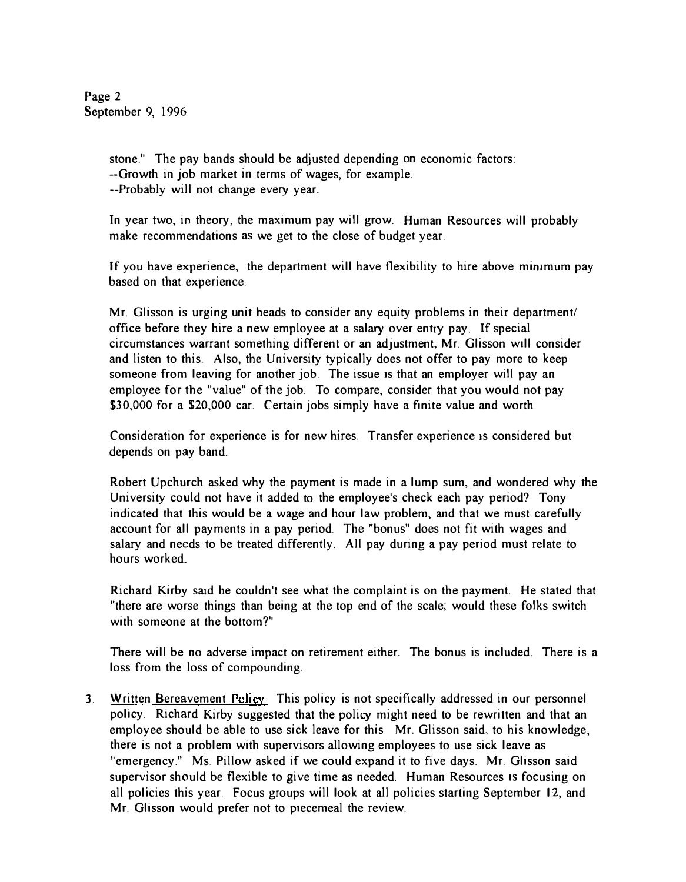Page 2 September 9, 1996

> stone." The pay bands should be adjusted depending on economic factors: --Growth in job market in terms of wages, for example. --Probably will not change every year.

In year two, in theory, the maximum pay will grow. Human Resources will probably make recommendations as we get to the close of budget year.

If you have experience, the department will have flexibility to hire above mimmum pay based on that experience.

Mr. Glisson is urging unit heads to consider any equity problems in their department/ office before they hire a new employee at a salaty over entty pay. If special circumstances warrant something different or an adjustment. Mr. Glisson Will consider and listen to this. Also, the University typically does not offer to pay more to keep someone from leaving for another job. The issue is that an employer will pay an employee for the "value" of the job. To compare, consider that you would not pay \$30,000 for a \$20,000 car. Certain jobs simply have a finite value and worth.

Consideration for experience is for new hires. Transfer experience is considered but depends on pay band.

Robert Upchurch asked why the payment is made in a lump sum, and wondered why the University could not have it added to the employee's check each pay period? Tony indicated that this would be a wage and hour law problem, and that we must carefully account for all payments in a pay period. The "bonus" does not fit with wages and salary and needs to be treated differently. All pay during a pay period must relate to hours worked\_

Richard Kirby said he couldn't see what the complaint is on the payment. He stated that "there are worse things than being at the top end of the scale; would these folks switch with someone at the bottom?"

There will be no adverse impact on retirement either. The bonus is included. There is a loss from the loss of compounding.

3. Written Bereavement Policy. This policy is not specifically addressed in our personnel policy. Richard Kirby suggested that the policy might need to be rewritten and that an employee should be able to use sick leave for this. Mr. Glisson said, to his knowledge, there is not a problem with supervisors allowing employees to use sick leave as "emergency." Ms. Pillow asked if we could expand it to five days. Mr. Glisson said supervisor should be flexible to give time as needed. Human Resources IS focusing on all policies this year. Focus groups will look at all policies starting September 12, and Mr. Glisson would prefer not to piecemeal the review.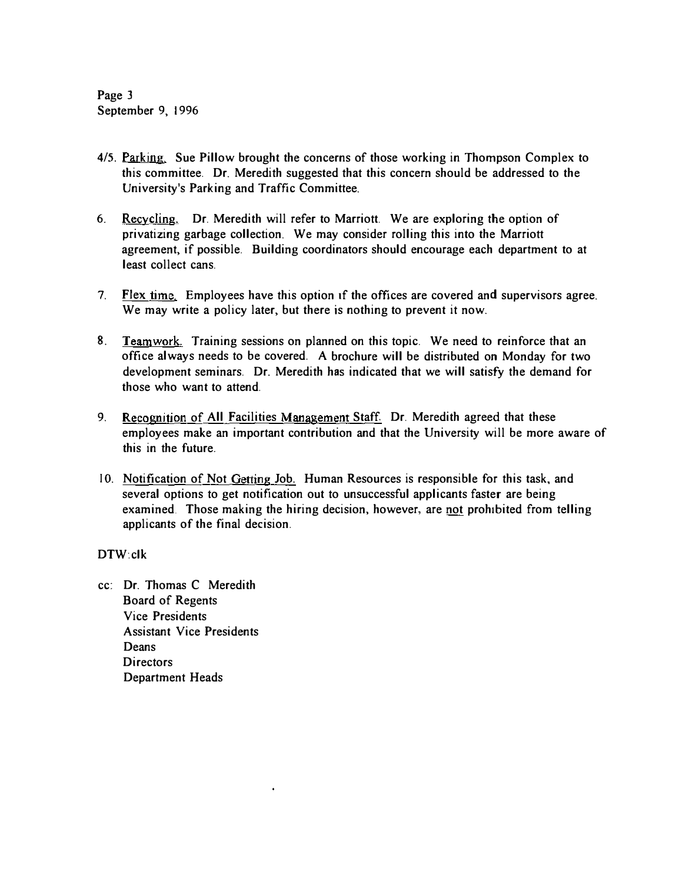Page 3 September 9, 1996

- 4/5. Parking. Sue Pillow brought the concerns of those working in Thompson Complex to this committee. Dr. Meredith suggested that this concern should be addressed to the University's Parking and Traffic Committee.
- 6. Recycling. Dr. Meredith will refer to Marriott. We are exploring the option of privatizing garbage collection. We may consider rolling this into the Marriott agreement, if possible. Building coordinators should encourage each department to at least collect cans.
- 7. Flex time. Employees have this option if the offices are covered and supervisors agree. We may write a policy later, but there is nothing to prevent it now.
- 8. Teamwork. Training sessions on planned on this topic. We need to reinforce that an office always needs to be covered. A brochure will be distributed on Monday for two development seminars. Dr. Meredith has indicated that we will satisfy the demand for those who want to attend.
- 9. Recognition of All Facilities Management Staff. Dr. Meredith agreed that these employees make an important contribution and that the University will be more aware of this in the future.
- 10. Notification of Not Getting Job. Human Resources is responsible for this task, and several options to get notification out to unsuccessful applicants faster are being examined. Those making the hiring decision, however, are not prohibited from telling applicants of the final decision.

### DTW:c1k

cc: Dr. Thomas C Meredith Board of Regents Vice Presidents Assistant Vice Presidents **Deans** Directors Department Heads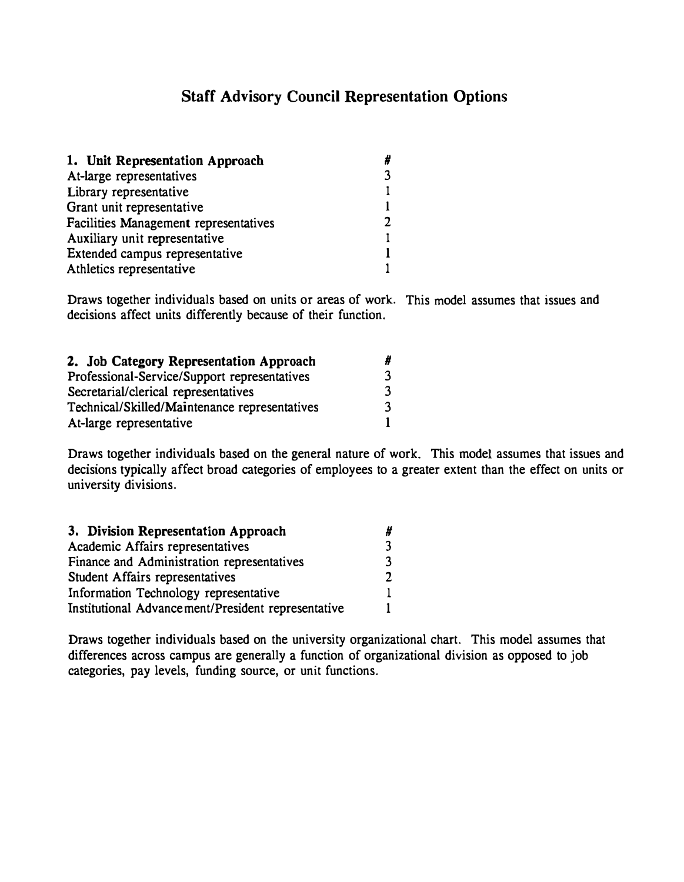# Staff Advisory Council Representation Options

| 1. Unit Representation Approach       |  |
|---------------------------------------|--|
| At-large representatives              |  |
| Library representative                |  |
| Grant unit representative             |  |
| Facilities Management representatives |  |
| Auxiliary unit representative         |  |
| Extended campus representative        |  |
| Athletics representative              |  |

Draws together individuals based on units or areas of work. This model assumes that issues and decisions affect units differently because of their function.

| 2. Job Category Representation Approach       |    |
|-----------------------------------------------|----|
| Professional-Service/Support representatives  |    |
| Secretarial/clerical representatives          | ્વ |
| Technical/Skilled/Maintenance representatives |    |
| At-large representative                       |    |

Draws together individuals based on the general nature of work. This model assumes that issues and decisions typically affect broad categories of employees to a greater extent than the effect on units or university divisions.

| 3. Division Representation Approach                |   |
|----------------------------------------------------|---|
| Academic Affairs representatives                   |   |
| Finance and Administration representatives         | 3 |
| Student Affairs representatives                    | ר |
| Information Technology representative              |   |
| Institutional Advancement/President representative |   |

Draws together individuals based on the university organizational chart. This model assumes that differences across campus are generally a function of organizational division as opposed to job categories, pay levels, funding source, or unit functions.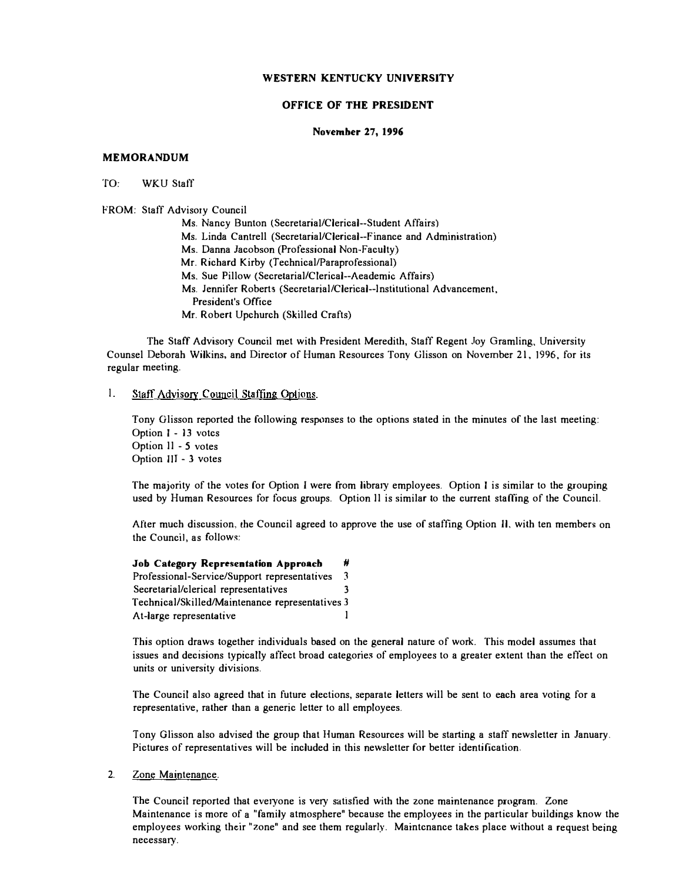### OFFICE OF THE PRESIDENT

#### Novemher 27, 1996

### MEMORANDUM

#### TO: WKU Staff

#### FROM: Staff Advisory Council

Ms. Nancy Bunton (Secretarial/Clerical--Student Affairs)

Ms. Linda Cantrell (Secretarial/Clerical--Finance and Administration)

Ms. Danna Jacobson (Professional Non-Faculty)

Mr. Richard Kirby (Technical/Paraprofessional)

Ms. Sue Pillow (Secretarial/Clerical--Aeademic Affairs)

- Ms. Jennifer Roberts (Secretarial/Clerical--Institutional Advancement,
	- President's Office
- Mr. Robert Upchurch (Skilled Crafts)

The Staff Advisory Council met with President Meredith, Staff Regent Joy Gramling, University Counsel Deborah Wilkins, and Director of Human Resources Tony Glisson on November 21. 1996, for its regular meeting.

### I. Staff Advisory Council Staffing Options.

Tony Glisson reported the following responses to the options stated in the minutes of the last meeting: Option I - 13 votcs Option II - 5 votes Option JJl - 3 votes

The majority of the votes for Option I were from library employees. Option I is similar to the grouping used by Human Resources for focus groups. Option II is similar to the current staffing of the Council.

After much discussion, the Council agreed to approve the use of staffing Option Il, with ten members on the Council, as follows:

Job Category Representation Approach # Professional-Service/Support representatives 3 Secretarial/clerical representatives 3 Technical/Skilled/Maintenance representatives 3 At-large representative l

This option draws together individuals based on the general nature of work. This model assumes that issues and decisions typically affect broad categories of employees to a grealer extent than the effect on units or university divisions.

The Council also agreed that in future elections, separate letters will be sent to each area voting for a representative, rather than a generic letter to all employees.

Tony Glisson also advised the group that Human Resources will be starting a staff newsletter in January. Pictures of representatives will be included in this newsletter for better identification.

#### 2. Zone Maintenance.

The Council reported that everyone is very satisfied with the zone maintenance program. Zone Maintenance is more of a "family atmosphere" because the employees in the particular buildings know the employees working their "zone" and see them regularly. Maintcnance takes place without a request being necessary.